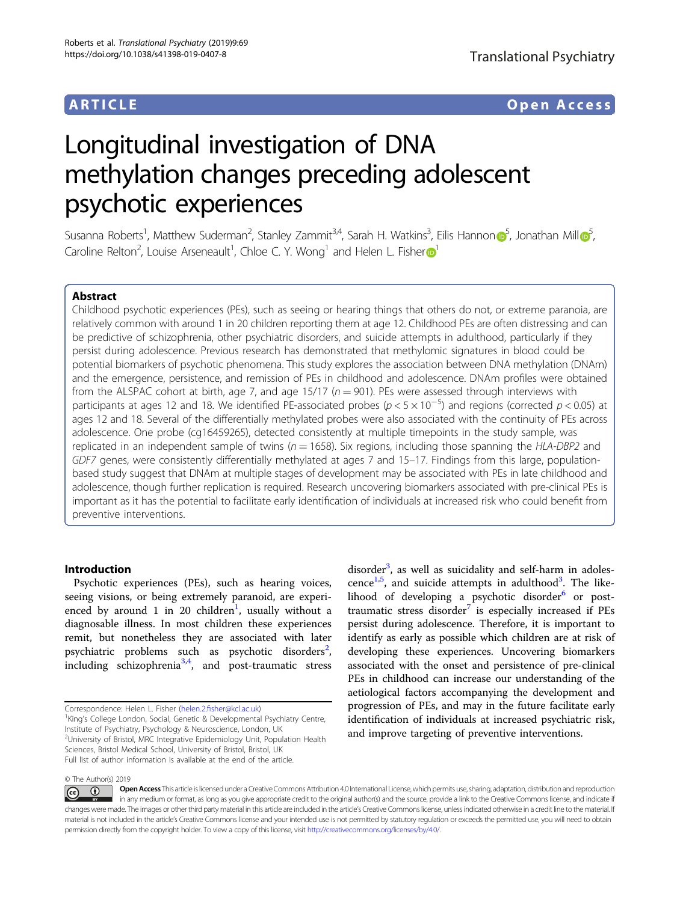## ARTICLE Open Access

# Longitudinal investigation of DNA methylation changes preceding adolescent psychotic experiences

Susa[n](http://orcid.org/0000-0001-6840-072X)na Roberts<sup>1</sup>, Matthew Suderman<sup>2</sup>, Stan[l](http://orcid.org/0000-0003-1115-3224)ey Zammit<sup>3,4</sup>, Sarah H. Watkins<sup>3</sup>, Eilis Hannon��, Jonathan Mill**�**� , Ca[r](http://orcid.org/0000-0003-4174-2126)oline Relton<sup>2</sup>, Louise Arseneault<sup>[1](http://orcid.org/0000-0003-4174-2126)</sup>, Chloe C. Y. Wong<sup>1</sup> and Helen L. Fisher

#### Abstract

Childhood psychotic experiences (PEs), such as seeing or hearing things that others do not, or extreme paranoia, are relatively common with around 1 in 20 children reporting them at age 12. Childhood PEs are often distressing and can be predictive of schizophrenia, other psychiatric disorders, and suicide attempts in adulthood, particularly if they persist during adolescence. Previous research has demonstrated that methylomic signatures in blood could be potential biomarkers of psychotic phenomena. This study explores the association between DNA methylation (DNAm) and the emergence, persistence, and remission of PEs in childhood and adolescence. DNAm profiles were obtained from the ALSPAC cohort at birth, age 7, and age 15/17 ( $n = 901$ ). PEs were assessed through interviews with participants at ages 12 and 18. We identified PE-associated probes ( $p < 5 \times 10^{-5}$ ) and regions (corrected  $p < 0.05$ ) at ages 12 and 18. Several of the differentially methylated probes were also associated with the continuity of PEs across adolescence. One probe (cg16459265), detected consistently at multiple timepoints in the study sample, was replicated in an independent sample of twins  $(n = 1658)$ . Six regions, including those spanning the HLA-DBP2 and GDF7 genes, were consistently differentially methylated at ages 7 and 15–17. Findings from this large, populationbased study suggest that DNAm at multiple stages of development may be associated with PEs in late childhood and adolescence, though further replication is required. Research uncovering biomarkers associated with pre-clinical PEs is important as it has the potential to facilitate early identification of individuals at increased risk who could benefit from preventive interventions.

#### Introduction

Psychotic experiences (PEs), such as hearing voices, seeing visions, or being extremely paranoid, are experi-enced by around [1](#page-10-0) in 20 children<sup>1</sup>, usually without a diagnosable illness. In most children these experiences remit, but nonetheless they are associated with later psychiatric problems such as psychotic disorders<sup>[2](#page-10-0)</sup>, including schizophrenia<sup>[3](#page-10-0),[4](#page-10-0)</sup>, and post-traumatic stress

Correspondence: Helen L. Fisher (helen.2.fi[sher@kcl.ac.uk\)](mailto:helen.2.fisher@kcl.ac.uk) <sup>1</sup>

<sup>1</sup>King's College London, Social, Genetic & Developmental Psychiatry Centre, Institute of Psychiatry, Psychology & Neuroscience, London, UK 2 University of Bristol, MRC Integrative Epidemiology Unit, Population Health Sciences, Bristol Medical School, University of Bristol, Bristol, UK Full list of author information is available at the end of the article.

disorder<sup>[3](#page-10-0)</sup>, as well as suicidality and self-harm in adoles-cence<sup>[1](#page-10-0),[5](#page-10-0)</sup>, and suicide attempts in adulthood<sup>[3](#page-10-0)</sup>. The likelihood of developing a psychotic disorder $6$  or post-traumatic stress disorder<sup>[7](#page-10-0)</sup> is especially increased if  $PEs$ persist during adolescence. Therefore, it is important to identify as early as possible which children are at risk of developing these experiences. Uncovering biomarkers associated with the onset and persistence of pre-clinical PEs in childhood can increase our understanding of the aetiological factors accompanying the development and progression of PEs, and may in the future facilitate early identification of individuals at increased psychiatric risk, and improve targeting of preventive interventions.

© The Author(s) 2019

Open Access This article is licensed under a Creative Commons Attribution 4.0 International License, which permits use, sharing, adaptation, distribution and reproduction  $\bigcirc$  $\left[{\rm (cc)}\right]$ in any medium or format, as long as you give appropriate credit to the original author(s) and the source, provide a link to the Creative Commons license, and indicate if changes were made. The images or other third party material in this article are included in the article's Creative Commons license, unless indicated otherwise in a credit line to the material. If material is not included in the article's Creative Commons license and your intended use is not permitted by statutory regulation or exceeds the permitted use, you will need to obtain permission directly from the copyright holder. To view a copy of this license, visit <http://creativecommons.org/licenses/by/4.0/>.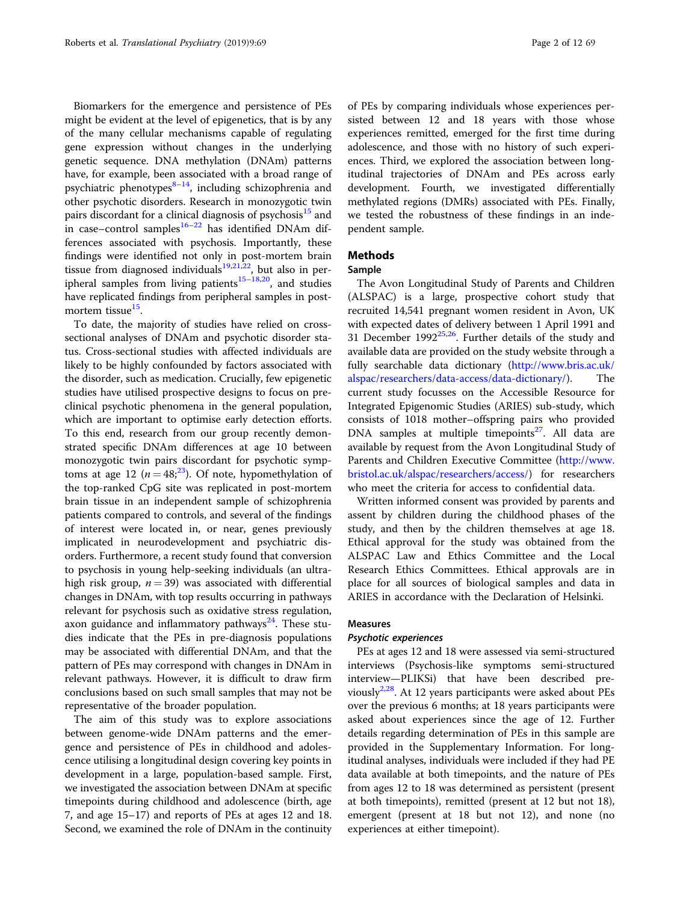Biomarkers for the emergence and persistence of PEs might be evident at the level of epigenetics, that is by any of the many cellular mechanisms capable of regulating gene expression without changes in the underlying genetic sequence. DNA methylation (DNAm) patterns have, for example, been associated with a broad range of psychiatric phenotypes $8-14$  $8-14$  $8-14$ , including schizophrenia and other psychotic disorders. Research in monozygotic twin pairs discordant for a clinical diagnosis of psychosis<sup>[15](#page-10-0)</sup> and in case–control samples $16-22$  $16-22$  $16-22$  has identified DNAm differences associated with psychosis. Importantly, these findings were identified not only in post-mortem brain tissue from diagnosed individuals $19,21,22$ , but also in per-ipheral samples from living patients<sup>[15](#page-10-0)–18,20</sup>, and studies have replicated findings from peripheral samples in postmortem tissue<sup>15</sup>.

To date, the majority of studies have relied on crosssectional analyses of DNAm and psychotic disorder status. Cross-sectional studies with affected individuals are likely to be highly confounded by factors associated with the disorder, such as medication. Crucially, few epigenetic studies have utilised prospective designs to focus on preclinical psychotic phenomena in the general population, which are important to optimise early detection efforts. To this end, research from our group recently demonstrated specific DNAm differences at age 10 between monozygotic twin pairs discordant for psychotic symptoms at age 12 ( $n = 48$ <sup>[23](#page-10-0)</sup>). Of note, hypomethylation of the top-ranked CpG site was replicated in post-mortem brain tissue in an independent sample of schizophrenia patients compared to controls, and several of the findings of interest were located in, or near, genes previously implicated in neurodevelopment and psychiatric disorders. Furthermore, a recent study found that conversion to psychosis in young help-seeking individuals (an ultrahigh risk group,  $n = 39$ ) was associated with differential changes in DNAm, with top results occurring in pathways relevant for psychosis such as oxidative stress regulation, axon guidance and inflammatory pathways<sup>[24](#page-10-0)</sup>. These studies indicate that the PEs in pre-diagnosis populations may be associated with differential DNAm, and that the pattern of PEs may correspond with changes in DNAm in relevant pathways. However, it is difficult to draw firm conclusions based on such small samples that may not be representative of the broader population.

The aim of this study was to explore associations between genome-wide DNAm patterns and the emergence and persistence of PEs in childhood and adolescence utilising a longitudinal design covering key points in development in a large, population-based sample. First, we investigated the association between DNAm at specific timepoints during childhood and adolescence (birth, age 7, and age 15–17) and reports of PEs at ages 12 and 18. Second, we examined the role of DNAm in the continuity of PEs by comparing individuals whose experiences persisted between 12 and 18 years with those whose experiences remitted, emerged for the first time during adolescence, and those with no history of such experiences. Third, we explored the association between longitudinal trajectories of DNAm and PEs across early development. Fourth, we investigated differentially methylated regions (DMRs) associated with PEs. Finally, we tested the robustness of these findings in an independent sample.

#### Methods

#### Sample

The Avon Longitudinal Study of Parents and Children (ALSPAC) is a large, prospective cohort study that recruited 14,541 pregnant women resident in Avon, UK with expected dates of delivery between 1 April 1991 and 31 December 1992 $^{25,26}$ . Further details of the study and available data are provided on the study website through a fully searchable data dictionary [\(http://www.bris.ac.uk/](http://www.bris.ac.uk/alspac/researchers/data-access/data-dictionary/) [alspac/researchers/data-access/data-dictionary/](http://www.bris.ac.uk/alspac/researchers/data-access/data-dictionary/)). The current study focusses on the Accessible Resource for Integrated Epigenomic Studies (ARIES) sub-study, which consists of 1018 mother–offspring pairs who provided DNA samples at multiple timepoints $27$ . All data are available by request from the Avon Longitudinal Study of Parents and Children Executive Committee ([http://www.](http://www.bristol.ac.uk/alspac/researchers/access/) [bristol.ac.uk/alspac/researchers/access/](http://www.bristol.ac.uk/alspac/researchers/access/)) for researchers who meet the criteria for access to confidential data.

Written informed consent was provided by parents and assent by children during the childhood phases of the study, and then by the children themselves at age 18. Ethical approval for the study was obtained from the ALSPAC Law and Ethics Committee and the Local Research Ethics Committees. Ethical approvals are in place for all sources of biological samples and data in ARIES in accordance with the Declaration of Helsinki.

#### Measures

#### Psychotic experiences

PEs at ages 12 and 18 were assessed via semi-structured interviews (Psychosis-like symptoms semi-structured interview—PLIKSi) that have been described previously $2,28$ . At 12 years participants were asked about PEs over the previous 6 months; at 18 years participants were asked about experiences since the age of 12. Further details regarding determination of PEs in this sample are provided in the Supplementary Information. For longitudinal analyses, individuals were included if they had PE data available at both timepoints, and the nature of PEs from ages 12 to 18 was determined as persistent (present at both timepoints), remitted (present at 12 but not 18), emergent (present at 18 but not 12), and none (no experiences at either timepoint).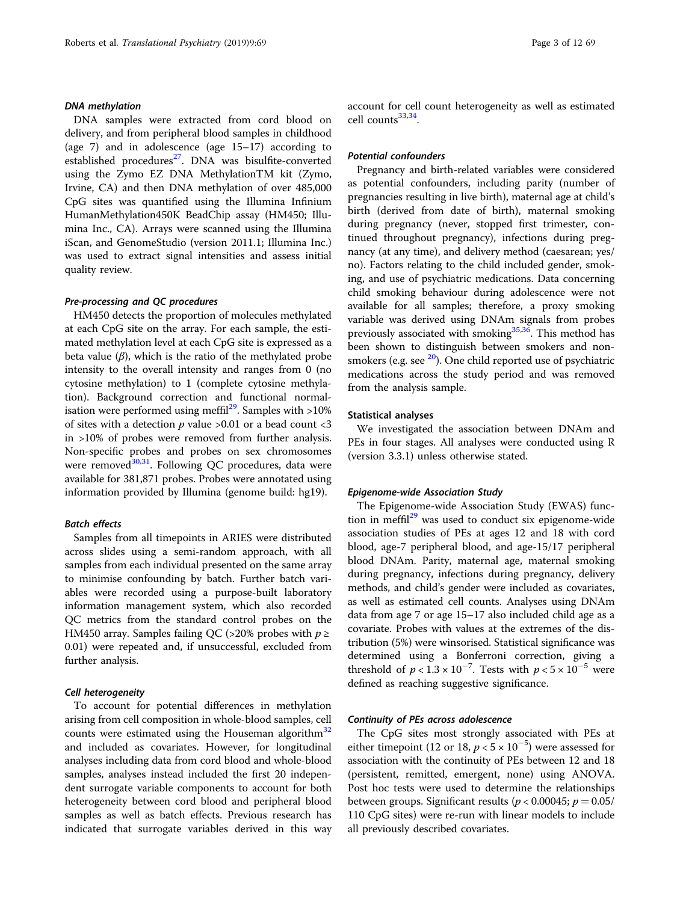#### DNA methylation

DNA samples were extracted from cord blood on delivery, and from peripheral blood samples in childhood (age 7) and in adolescence (age 15–17) according to established procedures $27$ . DNA was bisulfite-converted using the Zymo EZ DNA MethylationTM kit (Zymo, Irvine, CA) and then DNA methylation of over 485,000 CpG sites was quantified using the Illumina Infinium HumanMethylation450K BeadChip assay (HM450; Illumina Inc., CA). Arrays were scanned using the Illumina iScan, and GenomeStudio (version 2011.1; Illumina Inc.) was used to extract signal intensities and assess initial quality review.

#### Pre-processing and QC procedures

HM450 detects the proportion of molecules methylated at each CpG site on the array. For each sample, the estimated methylation level at each CpG site is expressed as a beta value  $(\beta)$ , which is the ratio of the methylated probe intensity to the overall intensity and ranges from 0 (no cytosine methylation) to 1 (complete cytosine methylation). Background correction and functional normalisation were performed using meffil<sup>29</sup>. Samples with >10% of sites with a detection  $p$  value >0.01 or a bead count <3 in >10% of probes were removed from further analysis. Non-specific probes and probes on sex chromosomes were removed $30,31$ . Following QC procedures, data were available for 381,871 probes. Probes were annotated using information provided by Illumina (genome build: hg19).

#### Batch effects

Samples from all timepoints in ARIES were distributed across slides using a semi-random approach, with all samples from each individual presented on the same array to minimise confounding by batch. Further batch variables were recorded using a purpose-built laboratory information management system, which also recorded QC metrics from the standard control probes on the HM450 array. Samples failing QC (>20% probes with  $p \geq$ 0.01) were repeated and, if unsuccessful, excluded from further analysis.

#### Cell heterogeneity

To account for potential differences in methylation arising from cell composition in whole-blood samples, cell counts were estimated using the Houseman algorithm $32$ and included as covariates. However, for longitudinal analyses including data from cord blood and whole-blood samples, analyses instead included the first 20 independent surrogate variable components to account for both heterogeneity between cord blood and peripheral blood samples as well as batch effects. Previous research has indicated that surrogate variables derived in this way account for cell count heterogeneity as well as estimated cell counts<sup>[33](#page-10-0),[34](#page-10-0)</sup>.

#### Potential confounders

Pregnancy and birth-related variables were considered as potential confounders, including parity (number of pregnancies resulting in live birth), maternal age at child's birth (derived from date of birth), maternal smoking during pregnancy (never, stopped first trimester, continued throughout pregnancy), infections during pregnancy (at any time), and delivery method (caesarean; yes/ no). Factors relating to the child included gender, smoking, and use of psychiatric medications. Data concerning child smoking behaviour during adolescence were not available for all samples; therefore, a proxy smoking variable was derived using DNAm signals from probes previously associated with smoking<sup>[35,](#page-10-0)36</sup>. This method has been shown to distinguish between smokers and nonsmokers (e.g. see  $20$ ). One child reported use of psychiatric medications across the study period and was removed from the analysis sample.

#### Statistical analyses

We investigated the association between DNAm and PEs in four stages. All analyses were conducted using R (version 3.3.1) unless otherwise stated.

#### Epigenome-wide Association Study

The Epigenome-wide Association Study (EWAS) func-tion in meffil<sup>[29](#page-10-0)</sup> was used to conduct six epigenome-wide association studies of PEs at ages 12 and 18 with cord blood, age-7 peripheral blood, and age-15/17 peripheral blood DNAm. Parity, maternal age, maternal smoking during pregnancy, infections during pregnancy, delivery methods, and child's gender were included as covariates, as well as estimated cell counts. Analyses using DNAm data from age 7 or age 15–17 also included child age as a covariate. Probes with values at the extremes of the distribution (5%) were winsorised. Statistical significance was determined using a Bonferroni correction, giving a threshold of  $p < 1.3 \times 10^{-7}$ . Tests with  $p < 5 \times 10^{-5}$  were defined as reaching suggestive significance.

#### Continuity of PEs across adolescence

The CpG sites most strongly associated with PEs at either timepoint (12 or 18,  $p < 5 \times 10^{-5}$ ) were assessed for association with the continuity of PEs between 12 and 18 (persistent, remitted, emergent, none) using ANOVA. Post hoc tests were used to determine the relationships between groups. Significant results ( $p < 0.00045$ ;  $p = 0.05/$ 110 CpG sites) were re-run with linear models to include all previously described covariates.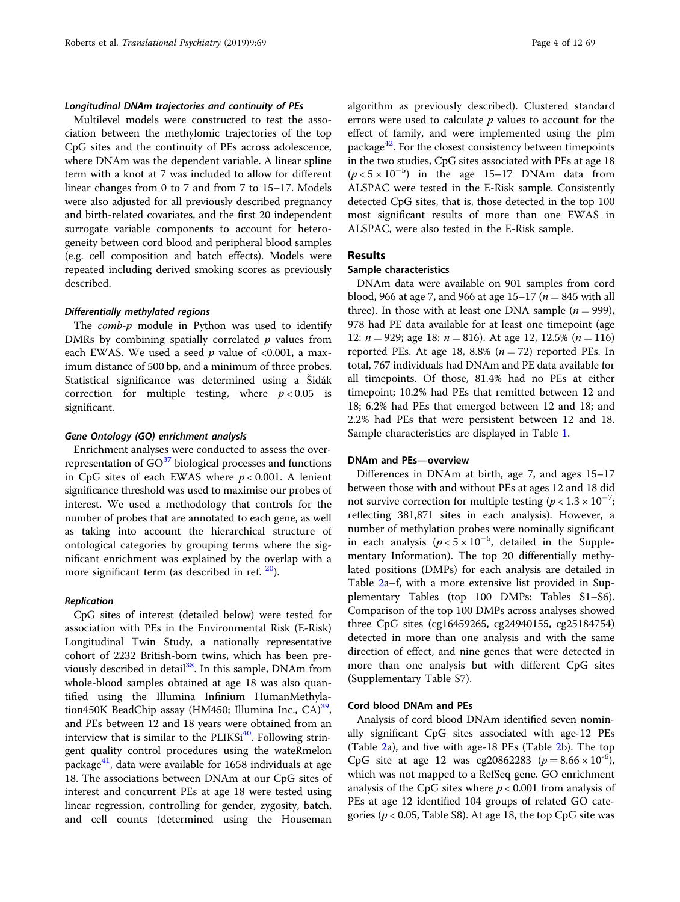#### Longitudinal DNAm trajectories and continuity of PEs

Multilevel models were constructed to test the association between the methylomic trajectories of the top CpG sites and the continuity of PEs across adolescence, where DNAm was the dependent variable. A linear spline term with a knot at 7 was included to allow for different linear changes from 0 to 7 and from 7 to 15–17. Models were also adjusted for all previously described pregnancy and birth-related covariates, and the first 20 independent surrogate variable components to account for heterogeneity between cord blood and peripheral blood samples (e.g. cell composition and batch effects). Models were repeated including derived smoking scores as previously described.

#### Differentially methylated regions

The comb-p module in Python was used to identify DMRs by combining spatially correlated  $p$  values from each EWAS. We used a seed  $p$  value of <0.001, a maximum distance of 500 bp, and a minimum of three probes. Statistical significance was determined using a Šidák correction for multiple testing, where  $p < 0.05$  is significant.

#### Gene Ontology (GO) enrichment analysis

Enrichment analyses were conducted to assess the overrepresentation of  $GO^{37}$  $GO^{37}$  $GO^{37}$  biological processes and functions in CpG sites of each EWAS where  $p < 0.001$ . A lenient significance threshold was used to maximise our probes of interest. We used a methodology that controls for the number of probes that are annotated to each gene, as well as taking into account the hierarchical structure of ontological categories by grouping terms where the significant enrichment was explained by the overlap with a more significant term (as described in ref.  $20$ ).

#### Replication

CpG sites of interest (detailed below) were tested for association with PEs in the Environmental Risk (E-Risk) Longitudinal Twin Study, a nationally representative cohort of 2232 British-born twins, which has been previously described in detail<sup>38</sup>. In this sample, DNAm from whole-blood samples obtained at age 18 was also quantified using the Illumina Infinium HumanMethylation450K BeadChip assay (HM450; Illumina Inc.,  $CA$ )<sup>39</sup>, and PEs between 12 and 18 years were obtained from an interview that is similar to the PLIKS $i^{40}$  $i^{40}$  $i^{40}$ . Following stringent quality control procedures using the wateRmelon package $41$ , data were available for 1658 individuals at age 18. The associations between DNAm at our CpG sites of interest and concurrent PEs at age 18 were tested using linear regression, controlling for gender, zygosity, batch, and cell counts (determined using the Houseman algorithm as previously described). Clustered standard errors were used to calculate  $p$  values to account for the effect of family, and were implemented using the plm package $42$ . For the closest consistency between timepoints in the two studies, CpG sites associated with PEs at age 18  $(p < 5 \times 10^{-5})$  in the age 15–17 DNAm data from ALSPAC were tested in the E-Risk sample. Consistently detected CpG sites, that is, those detected in the top 100 most significant results of more than one EWAS in ALSPAC, were also tested in the E-Risk sample.

#### Results

#### Sample characteristics

DNAm data were available on 901 samples from cord blood, 966 at age 7, and 966 at age 15–17 ( $n = 845$  with all three). In those with at least one DNA sample ( $n = 999$ ), 978 had PE data available for at least one timepoint (age 12:  $n = 929$ ; age 18:  $n = 816$ ). At age 12, 12.5% ( $n = 116$ ) reported PEs. At age 18, 8.8%  $(n = 72)$  reported PEs. In total, 767 individuals had DNAm and PE data available for all timepoints. Of those, 81.4% had no PEs at either timepoint; 10.2% had PEs that remitted between 12 and 18; 6.2% had PEs that emerged between 12 and 18; and 2.2% had PEs that were persistent between 12 and 18. Sample characteristics are displayed in Table [1](#page-4-0).

#### DNAm and PEs—overview

Differences in DNAm at birth, age 7, and ages 15–17 between those with and without PEs at ages 12 and 18 did not survive correction for multiple testing  $(p < 1.3 \times 10^{-7})$ reflecting 381,871 sites in each analysis). However, a number of methylation probes were nominally significant in each analysis  $(p < 5 \times 10^{-5}$ , detailed in the Supplementary Information). The top 20 differentially methylated positions (DMPs) for each analysis are detailed in Table [2](#page-5-0)a–f, with a more extensive list provided in Supplementary Tables (top 100 DMPs: Tables S1–S6). Comparison of the top 100 DMPs across analyses showed three CpG sites (cg16459265, cg24940155, cg25184754) detected in more than one analysis and with the same direction of effect, and nine genes that were detected in more than one analysis but with different CpG sites (Supplementary Table S7).

#### Cord blood DNAm and PEs

Analysis of cord blood DNAm identified seven nominally significant CpG sites associated with age-12 PEs (Table [2](#page-5-0)a), and five with age-18 PEs (Table [2b](#page-5-0)). The top CpG site at age 12 was cg20862283 ( $p = 8.66 \times 10^{-6}$ ), which was not mapped to a RefSeq gene. GO enrichment analysis of the CpG sites where  $p < 0.001$  from analysis of PEs at age 12 identified 104 groups of related GO categories ( $p < 0.05$ , Table S8). At age 18, the top CpG site was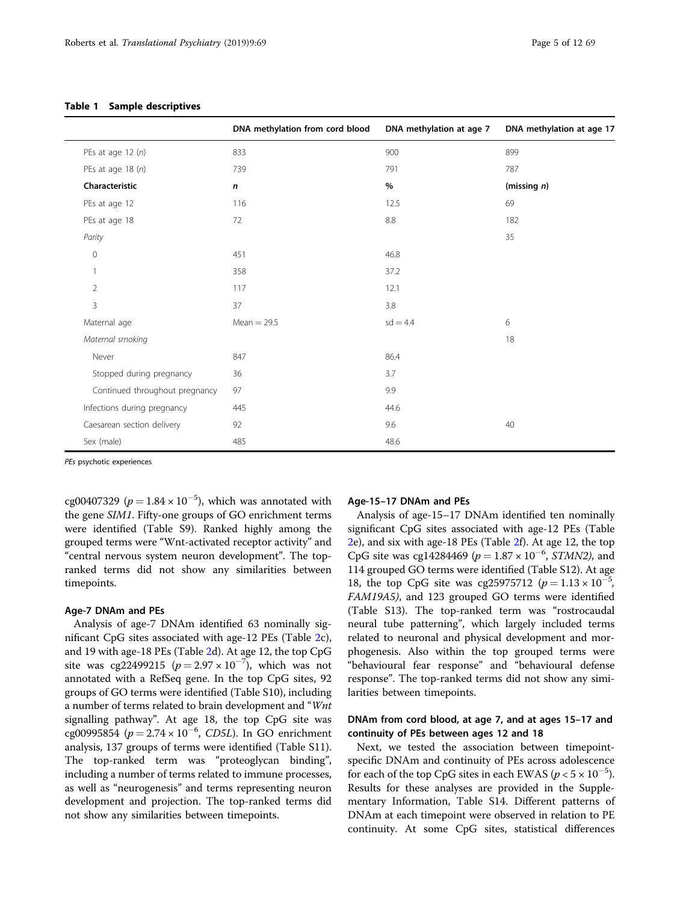|                                | DNA methylation from cord blood | DNA methylation at age 7 | DNA methylation at age 17 |
|--------------------------------|---------------------------------|--------------------------|---------------------------|
| PEs at age $12(n)$             | 833                             | 900                      | 899                       |
| PEs at age $18(n)$             | 739                             | 791                      | 787                       |
| Characteristic                 | $\mathsf{n}$                    | %                        | (missing $n$ )            |
| PEs at age 12                  | 116                             | 12.5                     | 69                        |
| PEs at age 18                  | 72                              | $8.8\,$                  | 182                       |
| Parity                         |                                 |                          | 35                        |
| $\mathbb O$                    | 451                             | 46.8                     |                           |
|                                | 358                             | 37.2                     |                           |
| $\overline{2}$                 | 117                             | 12.1                     |                           |
| 3                              | 37                              | 3.8                      |                           |
| Maternal age                   | $Mean = 29.5$                   | $sd = 4.4$               | 6                         |
| Maternal smoking               |                                 |                          | 18                        |
| Never                          | 847                             | 86.4                     |                           |
| Stopped during pregnancy       | 36                              | 3.7                      |                           |
| Continued throughout pregnancy | 97                              | 9.9                      |                           |
| Infections during pregnancy    | 445                             | 44.6                     |                           |
| Caesarean section delivery     | 92                              | 9.6                      | 40                        |
| Sex (male)                     | 485                             | 48.6                     |                           |

#### <span id="page-4-0"></span>Table 1 Sample descriptives

PEs psychotic experiences

cg00407329 ( $p = 1.84 \times 10^{-5}$ ), which was annotated with the gene SIM1. Fifty-one groups of GO enrichment terms were identified (Table S9). Ranked highly among the grouped terms were "Wnt-activated receptor activity" and "central nervous system neuron development". The topranked terms did not show any similarities between timepoints.

#### Age-7 DNAm and PEs

Analysis of age-7 DNAm identified 63 nominally significant CpG sites associated with age-12 PEs (Table [2c](#page-5-0)), and 19 with age-18 PEs (Table [2](#page-5-0)d). At age 12, the top CpG site was cg22499215  $(p = 2.97 \times 10^{-7})$ , which was not annotated with a RefSeq gene. In the top CpG sites, 92 groups of GO terms were identified (Table S10), including a number of terms related to brain development and "Wnt signalling pathway". At age 18, the top CpG site was cg00995854 ( $p = 2.74 \times 10^{-6}$ , CD5L). In GO enrichment analysis, 137 groups of terms were identified (Table S11). The top-ranked term was "proteoglycan binding", including a number of terms related to immune processes, as well as "neurogenesis" and terms representing neuron development and projection. The top-ranked terms did not show any similarities between timepoints.

#### Age-15–17 DNAm and PEs

Analysis of age-15–17 DNAm identified ten nominally significant CpG sites associated with age-12 PEs (Table [2e](#page-6-0)), and six with age-18 PEs (Table [2f](#page-6-0)). At age 12, the top CpG site was cg14284469 ( $p = 1.87 \times 10^{-6}$ , STMN2), and 114 grouped GO terms were identified (Table S12). At age 18, the top CpG site was cg25975712  $(p = 1.13 \times 10^{-5})$ FAM19A5), and 123 grouped GO terms were identified (Table S13). The top-ranked term was "rostrocaudal neural tube patterning", which largely included terms related to neuronal and physical development and morphogenesis. Also within the top grouped terms were "behavioural fear response" and "behavioural defense response". The top-ranked terms did not show any similarities between timepoints.

### DNAm from cord blood, at age 7, and at ages 15–17 and continuity of PEs between ages 12 and 18

Next, we tested the association between timepointspecific DNAm and continuity of PEs across adolescence for each of the top CpG sites in each EWAS ( $p < 5 \times 10^{-5}$ ). Results for these analyses are provided in the Supplementary Information, Table S14. Different patterns of DNAm at each timepoint were observed in relation to PE continuity. At some CpG sites, statistical differences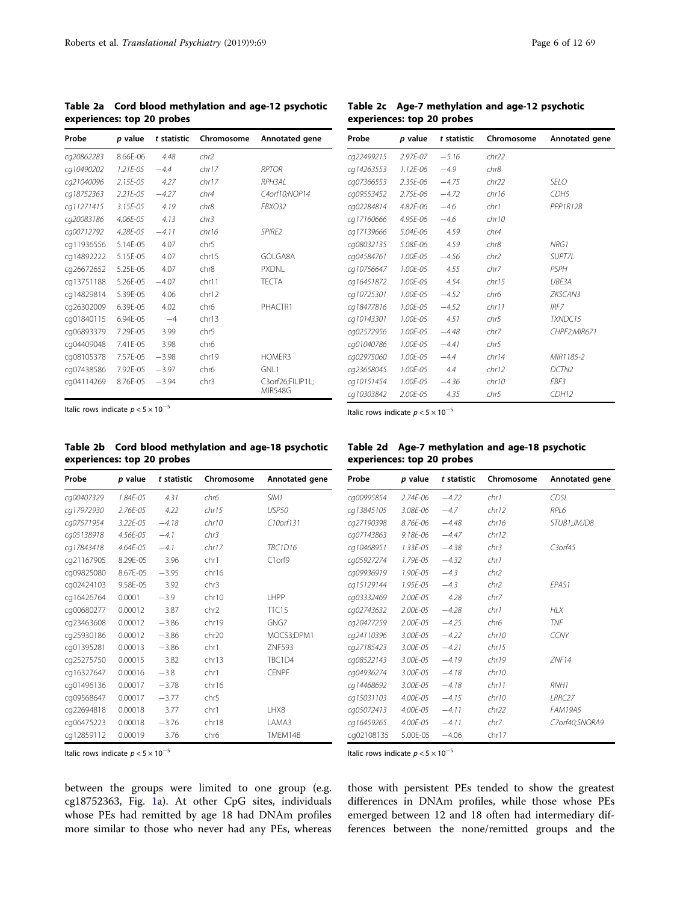<span id="page-5-0"></span>Table 2a Cord blood methylation and age-12 psychotic experiences: top 20 probes

| Probe      | p value      | t statistic | Chromosome       | Annotated gene                     |
|------------|--------------|-------------|------------------|------------------------------------|
| cq20862283 | 8.66E-06     | 4.48        | chr2             |                                    |
| cq10490202 | $1.21E - 05$ | $-4.4$      | chr17            | RPTOR                              |
| cg21040096 | $2.15E-05$   | 4.27        | chr17            | RPH3AI                             |
| cq18752363 | $2.21E - 05$ | $-4.27$     | chr4             | C4orf10;NOP14                      |
| cq11271415 | $3.15E-05$   | 4.19        | chr8             | <b>FBXO32</b>                      |
| cg20083186 | 4.06E-05     | 4.13        | chr3             |                                    |
| cq00712792 | 4.28E-05     | $-4.11$     | chr16            | SPIRE <sub>2</sub>                 |
| cq11936556 | 5.14E-05     | 4.07        | chr <sub>5</sub> |                                    |
| cq14892222 | 5.15E-05     | 4.07        | chr15            | GOLGA8A                            |
| cq26672652 | 5.25E-05     | 4.07        | chr8             | <b>PXDNL</b>                       |
| cq13751188 | 5.26E-05     | $-4.07$     | chr11            | <b>TECTA</b>                       |
| cq14829814 | 5.39E-05     | 4.06        | chr12            |                                    |
| cq26302009 | 6.39E-05     | 4.02        | chr6             | PHACTR1                            |
| cq01840115 | 6.94E-05     | $-4$        | chr13            |                                    |
| cq06893379 | 7.29E-05     | 3.99        | chr <sub>5</sub> |                                    |
| cq04409048 | 7.41E-05     | 3.98        | chr6             |                                    |
| cq08105378 | 7.57E-05     | $-3.98$     | chr19            | HOMER3                             |
| cq07438586 | 7.92E-05     | $-3.97$     | chr6             | GNL1                               |
| cg04114269 | 8.76E-05     | $-3.94$     | chr <sub>3</sub> | C3orf26;FILIP1L;<br><b>MIR548G</b> |

Table 2c Age-7 methylation and age-12 psychotic experiences: top 20 probes

| Probe      | p value  | t statistic | Chromosome       | Annotated gene    |
|------------|----------|-------------|------------------|-------------------|
| cg22499215 | 2.97E-07 | $-5.16$     | chr22            |                   |
| cg14263553 | 1.12E-06 | $-4.9$      | chr8             |                   |
| cq07366553 | 2.35E-06 | $-4.75$     | chr22            | SFI O             |
| cq09553452 | 2.75E-06 | $-4.72$     | chr16            | CDH <sub>5</sub>  |
| cg02284814 | 4.82E-06 | $-4.6$      | chr1             | PPP1R12B          |
| cq17160666 | 4.95E-06 | $-4.6$      | chr10            |                   |
| cq17139666 | 5.04E-06 | 4.59        | chr4             |                   |
| cq08032135 | 5.08E-06 | 4.59        | chr8             | NRG1              |
| cq04584761 | 1.00E-05 | $-4.56$     | chr2             | SUPT7L            |
| cq10756647 | 1.00E-05 | 4.55        | chr7             | PSPH              |
| cq16451872 | 1.00E-05 | 4.54        | chr15            | UBE3A             |
| cq10725301 | 1.00E-05 | $-4.52$     | chr6             | ZKSCAN3           |
| cq18477816 | 1.00E-05 | $-4.52$     | chr11            | IRF7              |
| cq10143301 | 1.00E-05 | 4.51        | chr <sub>5</sub> | TXNDC15           |
| cq02572956 | 1.00E-05 | $-4.48$     | chr7             | CHPF2;MIR671      |
| cg01040786 | 1.00E-05 | $-4.41$     | chr <sub>5</sub> |                   |
| cq02975060 | 1.00E-05 | $-4.4$      | chr14            | MIR1185-2         |
| cg23658045 | 1.00E-05 | 4.4         | chr12            | DCTN <sub>2</sub> |
| cq10151454 | 1.00E-05 | $-4.36$     | chr10            | FBF3              |
| cq10303842 | 2.00E-05 | 4.35        | chr5             | CDH12             |

Italic rows indicate  $p < 5 \times 10^{-5}$ 

Table 2b Cord blood methylation and age-18 psychotic experiences: top 20 probes

| Probe      | p value      | t statistic | Chromosome       | Annotated gene   |
|------------|--------------|-------------|------------------|------------------|
| cg00407329 | 1.84E-05     | 4.31        | chr6             | SIM <sub>1</sub> |
| cq17972930 | 2.76E-05     | 4.22        | chr15            | <b>USP50</b>     |
| cq07571954 | $3.22E - 05$ | $-4.18$     | chr10            | C10orf131        |
| cg05138918 | 4.56E-05     | $-4.1$      | chr3             |                  |
| cq17843418 | 4.64E-05     | $-4.1$      | chr17            | <b>TBC1D16</b>   |
| cq21167905 | 8.29E-05     | 3.96        | chr1             | C1orf9           |
| cq09825080 | 8.67E-05     | $-3.95$     | chr16            |                  |
| cg02424103 | 9.58E-05     | 3.92        | chr3             |                  |
| cq16426764 | 0.0001       | $-3.9$      | chr10            | LHPP             |
| cq00680277 | 0.00012      | 3.87        | chr <sub>2</sub> | TTC15            |
| cq23463608 | 0.00012      | $-3.86$     | chr19            | GNG7             |
| cq25930186 | 0.00012      | $-3.86$     | chr20            | MOCS3;DPM1       |
| cg01395281 | 0.00013      | $-3.86$     | chr1             | <b>ZNF593</b>    |
| cq25275750 | 0.00015      | 3.82        | chr13            | TBC1D4           |
| cq16327647 | 0.00016      | $-3.8$      | chr1             | <b>CENPF</b>     |
| cg01496136 | 0.00017      | $-3.78$     | chr16            |                  |
| cq09568647 | 0.00017      | $-3.77$     | chr5             |                  |
| cq22694818 | 0.00018      | 3.77        | chr1             | LHX8             |
| cg06475223 | 0.00018      | $-3.76$     | chr18            | LAMA3            |
| cq12859112 | 0.00019      | 3.76        | chr6             | TMEM14B          |

Italic rows indicate  $p < 5 \times 10^{-5}$ 

Italic rows indicate  $p < 5 \times 10^{-5}$ 

between the groups were limited to one group (e.g. cg18752363, Fig. [1a](#page-7-0)). At other CpG sites, individuals whose PEs had remitted by age 18 had DNAm profiles more similar to those who never had any PEs, whereas

those with persistent PEs tended to show the greatest differences in DNAm profiles, while those whose PEs emerged between 12 and 18 often had intermediary differences between the none/remitted groups and the

Italic rows indicate  $p < 5 \times 10^{-5}$ 

#### Table 2d Age-7 methylation and age-18 psychotic experiences: top 20 probes

| Probe      | p value      | t statistic | Chromosome | Annotated gene    |
|------------|--------------|-------------|------------|-------------------|
| cq00995854 | $2.74E - 06$ | $-4.72$     | chr1       | CD5L              |
| cq13845105 | 3.08E-06     | $-4.7$      | chr12      | RPI6              |
| cg27190398 | 8.76E-06     | $-4.48$     | chr16      | STUB1;JMJD8       |
| cq07143863 | 9.18E-06     | $-4.47$     | chr12      |                   |
| cq10468951 | 1.33E-05     | $-4.38$     | chr3       | $C3$ orf45        |
| cg05927274 | 1.79E-05     | $-4.32$     | chr1       |                   |
| cq09936919 | 1.90E-05     | $-4.3$      | chr2       |                   |
| cq15129144 | 1.95E-05     | $-4.3$      | chr2       | FPAS <sub>1</sub> |
| cq03332469 | 2.00E-05     | 4.28        | chr7       |                   |
| cq02743632 | 2.00E-05     | $-4.28$     | chr1       | <b>HLX</b>        |
| cg20477259 | 2.00E-05     | $-4.25$     | chr6       | <b>TNF</b>        |
| cg24110396 | 3.00E-05     | $-4.22$     | chr10      | <b>CCNY</b>       |
| cg27185423 | 3.00E-05     | $-4.21$     | chr15      |                   |
| cq08522143 | 3.00E-05     | $-4.19$     | chr19      | <b>7NF14</b>      |
| cq04936274 | 3.00E-05     | $-4.18$     | chr10      |                   |
| cq14468692 | 3.00E-05     | $-4.18$     | chr11      | RNH1              |
| cq15031103 | 4.00E-05     | $-4.15$     | chr10      | LRRC27            |
| cq05072413 | 4.00E-05     | $-4.11$     | chr22      | <b>FAM19A5</b>    |
| cq16459265 | 4.00E-05     | $-4.11$     | chr7       | C7orf40;SNORA9    |
| cg02108135 | 5.00E-05     | $-4.06$     | chr17      |                   |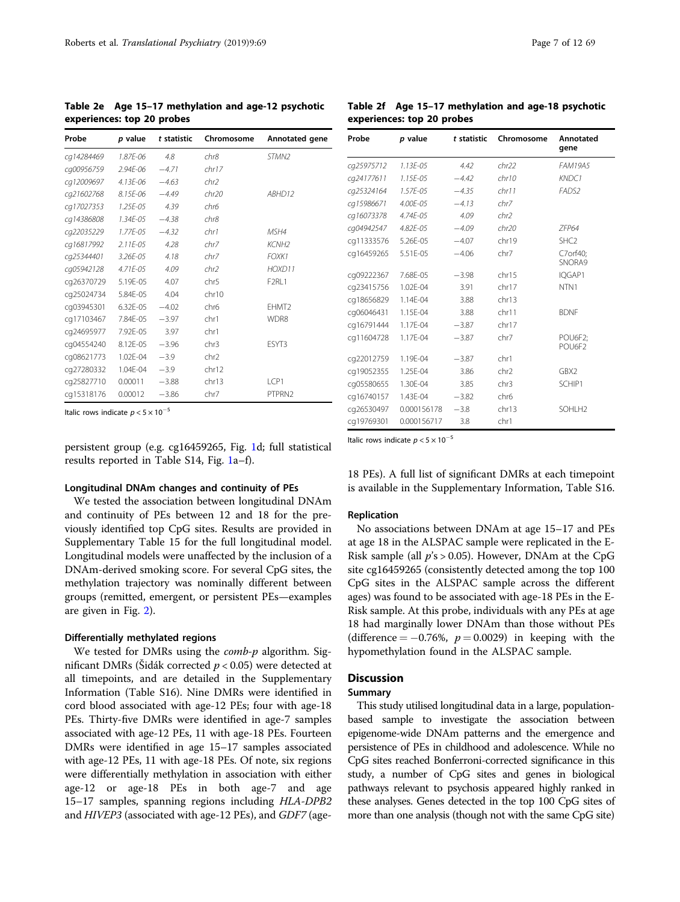<span id="page-6-0"></span>Table 2e Age 15–17 methylation and age-12 psychotic experiences: top 20 probes

| Probe      | p value      | t statistic | Chromosome       | Annotated gene    |
|------------|--------------|-------------|------------------|-------------------|
| cq14284469 | 1.87E-06     | 4.8         | chr8             | STMN <sub>2</sub> |
| cq00956759 | $2.94E - 06$ | $-4.71$     | chr17            |                   |
| cq12009697 | 4.13E-06     | $-4.63$     | chr2             |                   |
| cg21602768 | 8.15E-06     | $-4.49$     | chr20            | ABHD12            |
| cq17027353 | 1.25E-05     | 4.39        | chr6             |                   |
| cq14386808 | 1.34E-05     | $-4.38$     | chr8             |                   |
| cg22035229 | 1.77E-05     | $-4.32$     | chr1             | MSH4              |
| cq16817992 | $2.11E-05$   | 4.28        | chr7             | KCNH <sub>2</sub> |
| cq25344401 | 3.26E-05     | 4.18        | chr7             | FOXK1             |
| cg05942128 | 4.71E-05     | 4.09        | chr2             | HOXD11            |
| cq26370729 | 5.19E-05     | 4.07        | chr5             | F <sub>2RL1</sub> |
| cq25024734 | 5.84E-05     | 4.04        | chr10            |                   |
| cq03945301 | 6.32E-05     | $-4.02$     | chr6             | EHMT2             |
| cq17103467 | 7.84E-05     | $-3.97$     | chr1             | WDR8              |
| cq24695977 | 7.92E-05     | 3.97        | chr1             |                   |
| cg04554240 | 8.12E-05     | $-3.96$     | chr3             | ESYT3             |
| cq08621773 | 1.02E-04     | $-3.9$      | chr <sub>2</sub> |                   |
| cq27280332 | 1.04E-04     | $-3.9$      | chr12            |                   |
| cq25827710 | 0.00011      | $-3.88$     | chr13            | LCP1              |
| cq15318176 | 0.00012      | $-3.86$     | chr7             | PTPRN2            |

Italic rows indicate  $p < 5 \times 10^{-5}$ 

persistent group (e.g. cg16459265, Fig. [1d](#page-7-0); full statistical results reported in Table S14, Fig. [1](#page-7-0)a–f).

#### Longitudinal DNAm changes and continuity of PEs

We tested the association between longitudinal DNAm and continuity of PEs between 12 and 18 for the previously identified top CpG sites. Results are provided in Supplementary Table 15 for the full longitudinal model. Longitudinal models were unaffected by the inclusion of a DNAm-derived smoking score. For several CpG sites, the methylation trajectory was nominally different between groups (remitted, emergent, or persistent PEs—examples are given in Fig. [2\)](#page-8-0).

#### Differentially methylated regions

We tested for DMRs using the *comb-p* algorithm. Significant DMRs (Šidák corrected  $p < 0.05$ ) were detected at all timepoints, and are detailed in the Supplementary Information (Table S16). Nine DMRs were identified in cord blood associated with age-12 PEs; four with age-18 PEs. Thirty-five DMRs were identified in age-7 samples associated with age-12 PEs, 11 with age-18 PEs. Fourteen DMRs were identified in age 15–17 samples associated with age-12 PEs, 11 with age-18 PEs. Of note, six regions were differentially methylation in association with either age-12 or age-18 PEs in both age-7 and age 15–17 samples, spanning regions including HLA-DPB2 and HIVEP3 (associated with age-12 PEs), and GDF7 (ageItalic rows indicate  $p < 5 \times 10^{-5}$ 

18 PEs). A full list of significant DMRs at each timepoint is available in the Supplementary Information, Table S16.

#### Replication

No associations between DNAm at age 15–17 and PEs at age 18 in the ALSPAC sample were replicated in the E-Risk sample (all  $p$ 's > 0.05). However, DNAm at the CpG site cg16459265 (consistently detected among the top 100 CpG sites in the ALSPAC sample across the different ages) was found to be associated with age-18 PEs in the E-Risk sample. At this probe, individuals with any PEs at age 18 had marginally lower DNAm than those without PEs (difference  $= -0.76\%$ ,  $p = 0.0029$ ) in keeping with the hypomethylation found in the ALSPAC sample.

## **Discussion**

#### Summary

This study utilised longitudinal data in a large, populationbased sample to investigate the association between epigenome-wide DNAm patterns and the emergence and persistence of PEs in childhood and adolescence. While no CpG sites reached Bonferroni-corrected significance in this study, a number of CpG sites and genes in biological pathways relevant to psychosis appeared highly ranked in these analyses. Genes detected in the top 100 CpG sites of more than one analysis (though not with the same CpG site)

Table 2f Age 15–17 methylation and age-18 psychotic experiences: top 20 probes

| Probe      | p value     | t statistic | Chromosome       | Annotated<br>gene  |  |
|------------|-------------|-------------|------------------|--------------------|--|
| cg25975712 | 1.13E-05    | 4.42        | chr22            | <b>FAM19A5</b>     |  |
| cg24177611 | 1.15E-05    | $-4.42$     | chr10            | <b>KNDC1</b>       |  |
| cq25324164 | 1.57E-05    | $-4.35$     | chr11            | FADS <sub>2</sub>  |  |
| cq15986671 | 4.00E-05    | $-4.13$     | chr7             |                    |  |
| cq16073378 | 4.74E-05    | 4.09        | chr2             |                    |  |
| cg04942547 | 4.82E-05    | $-4.09$     | chr20            | ZFP64              |  |
| cq11333576 | 5.26E-05    | $-4.07$     | chr19            | SHC <sub>2</sub>   |  |
| cq16459265 | 5.51E-05    | $-4.06$     | chr7             | C7orf40:<br>SNORA9 |  |
| cq09222367 | 7.68E-05    | $-3.98$     | chr15            | IQGAP1             |  |
| cq23415756 | 1.02E-04    | 3.91        | chr17            | NTN1               |  |
| cq18656829 | 1.14E-04    | 3.88        | chr13            |                    |  |
| cg06046431 | 1.15E-04    | 3.88        | chr11            | <b>BDNF</b>        |  |
| cq16791444 | 1.17E-04    | $-3.87$     | chr17            |                    |  |
| cq11604728 | 1.17E-04    | $-3.87$     | chr7             | POU6F2:<br>POU6F2  |  |
| cq22012759 | 1.19E-04    | $-3.87$     | chr1             |                    |  |
| cq19052355 | 1.25E-04    | 3.86        | chr <sub>2</sub> | GBX2               |  |
| cq05580655 | 1.30E-04    | 3.85        | chr3             | SCHIP1             |  |
| cq16740157 | 1.43E-04    | $-3.82$     | chr <sub>6</sub> |                    |  |
| cq26530497 | 0.000156178 | $-3.8$      | chr13            | SOHLH <sub>2</sub> |  |
| cq19769301 | 0.000156717 | 3.8         | chr1             |                    |  |
|            |             |             |                  |                    |  |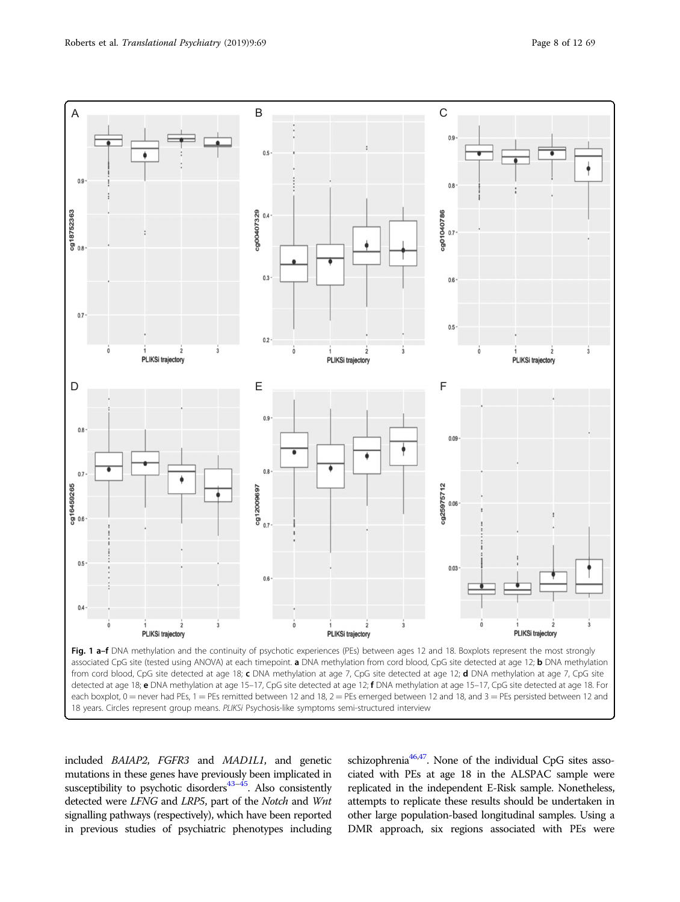<span id="page-7-0"></span>

included BAIAP2, FGFR3 and MAD1L1, and genetic mutations in these genes have previously been implicated in susceptibility to psychotic disorders $43-\frac{4}{3}$ . Also consistently detected were LFNG and LRP5, part of the Notch and Wnt signalling pathways (respectively), which have been reported in previous studies of psychiatric phenotypes including

schizophrenia $46,47$ . None of the individual CpG sites associated with PEs at age 18 in the ALSPAC sample were replicated in the independent E-Risk sample. Nonetheless, attempts to replicate these results should be undertaken in other large population-based longitudinal samples. Using a DMR approach, six regions associated with PEs were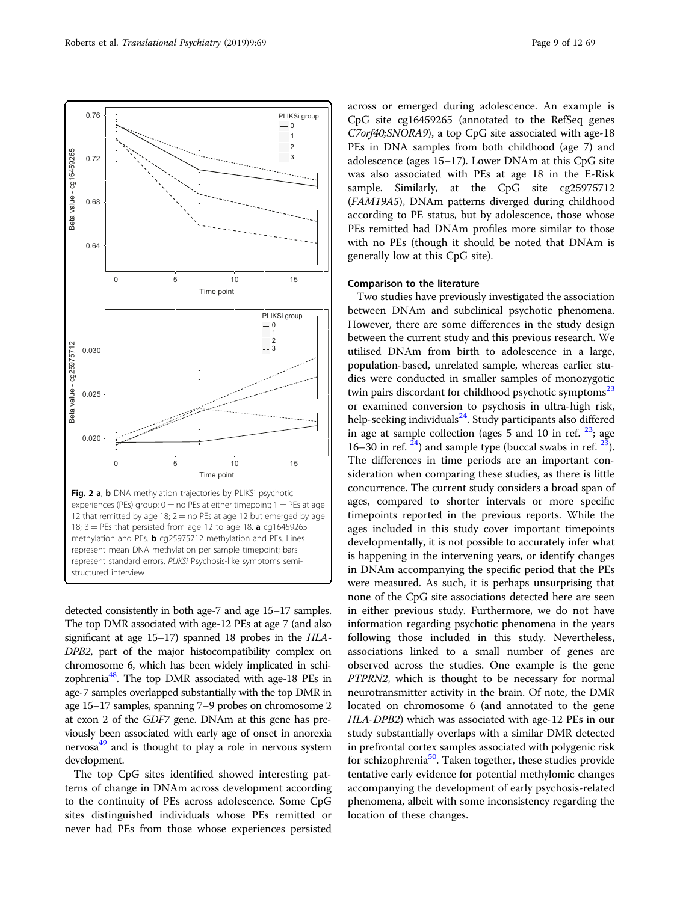<span id="page-8-0"></span>

detected consistently in both age-7 and age 15–17 samples. The top DMR associated with age-12 PEs at age 7 (and also significant at age 15–17) spanned 18 probes in the HLA-DPB2, part of the major histocompatibility complex on chromosome 6, which has been widely implicated in schizophrenia<sup>48</sup>. The top DMR associated with age-18 PEs in age-7 samples overlapped substantially with the top DMR in age 15–17 samples, spanning 7–9 probes on chromosome 2 at exon 2 of the GDF7 gene. DNAm at this gene has previously been associated with early age of onset in anorexia nervosa $49$  and is thought to play a role in nervous system development.

The top CpG sites identified showed interesting patterns of change in DNAm across development according to the continuity of PEs across adolescence. Some CpG sites distinguished individuals whose PEs remitted or never had PEs from those whose experiences persisted across or emerged during adolescence. An example is CpG site cg16459265 (annotated to the RefSeq genes C7orf40;SNORA9), a top CpG site associated with age-18 PEs in DNA samples from both childhood (age 7) and adolescence (ages 15–17). Lower DNAm at this CpG site was also associated with PEs at age 18 in the E-Risk sample. Similarly, at the CpG site cg25975712 (FAM19A5), DNAm patterns diverged during childhood according to PE status, but by adolescence, those whose PEs remitted had DNAm profiles more similar to those with no PEs (though it should be noted that DNAm is generally low at this CpG site).

#### Comparison to the literature

Two studies have previously investigated the association between DNAm and subclinical psychotic phenomena. However, there are some differences in the study design between the current study and this previous research. We utilised DNAm from birth to adolescence in a large, population-based, unrelated sample, whereas earlier studies were conducted in smaller samples of monozygotic twin pairs discordant for childhood psychotic symptoms $^{23}$  $^{23}$  $^{23}$ or examined conversion to psychosis in ultra-high risk, help-seeking individuals $^{24}$  $^{24}$  $^{24}$ . Study participants also differed in age at sample collection (ages 5 and 10 in ref.  $23$ ; age 16–30 in ref.  $24$ ) and sample type (buccal swabs in ref.  $23$ ). The differences in time periods are an important consideration when comparing these studies, as there is little concurrence. The current study considers a broad span of ages, compared to shorter intervals or more specific timepoints reported in the previous reports. While the ages included in this study cover important timepoints developmentally, it is not possible to accurately infer what is happening in the intervening years, or identify changes in DNAm accompanying the specific period that the PEs were measured. As such, it is perhaps unsurprising that none of the CpG site associations detected here are seen in either previous study. Furthermore, we do not have information regarding psychotic phenomena in the years following those included in this study. Nevertheless, associations linked to a small number of genes are observed across the studies. One example is the gene PTPRN2, which is thought to be necessary for normal neurotransmitter activity in the brain. Of note, the DMR located on chromosome 6 (and annotated to the gene HLA-DPB2) which was associated with age-12 PEs in our study substantially overlaps with a similar DMR detected in prefrontal cortex samples associated with polygenic risk for schizophrenia<sup>[50](#page-11-0)</sup>. Taken together, these studies provide tentative early evidence for potential methylomic changes accompanying the development of early psychosis-related phenomena, albeit with some inconsistency regarding the location of these changes.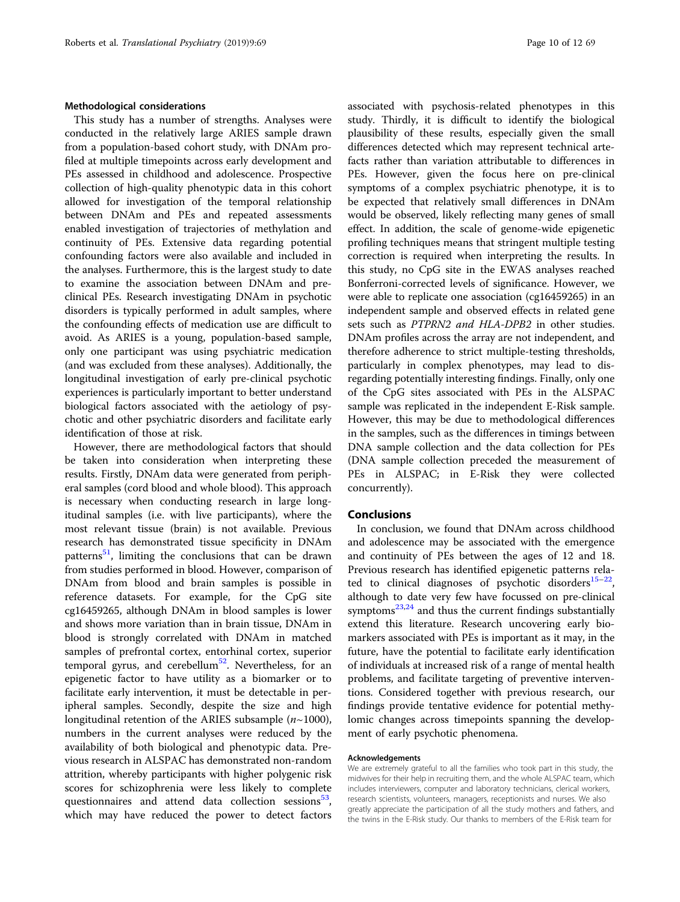#### Methodological considerations

This study has a number of strengths. Analyses were conducted in the relatively large ARIES sample drawn from a population-based cohort study, with DNAm profiled at multiple timepoints across early development and PEs assessed in childhood and adolescence. Prospective collection of high-quality phenotypic data in this cohort allowed for investigation of the temporal relationship between DNAm and PEs and repeated assessments enabled investigation of trajectories of methylation and continuity of PEs. Extensive data regarding potential confounding factors were also available and included in the analyses. Furthermore, this is the largest study to date to examine the association between DNAm and preclinical PEs. Research investigating DNAm in psychotic disorders is typically performed in adult samples, where the confounding effects of medication use are difficult to avoid. As ARIES is a young, population-based sample, only one participant was using psychiatric medication (and was excluded from these analyses). Additionally, the longitudinal investigation of early pre-clinical psychotic experiences is particularly important to better understand biological factors associated with the aetiology of psychotic and other psychiatric disorders and facilitate early identification of those at risk.

However, there are methodological factors that should be taken into consideration when interpreting these results. Firstly, DNAm data were generated from peripheral samples (cord blood and whole blood). This approach is necessary when conducting research in large longitudinal samples (i.e. with live participants), where the most relevant tissue (brain) is not available. Previous research has demonstrated tissue specificity in DNAm patterns<sup>[51](#page-11-0)</sup>, limiting the conclusions that can be drawn from studies performed in blood. However, comparison of DNAm from blood and brain samples is possible in reference datasets. For example, for the CpG site cg16459265, although DNAm in blood samples is lower and shows more variation than in brain tissue, DNAm in blood is strongly correlated with DNAm in matched samples of prefrontal cortex, entorhinal cortex, superior temporal gyrus, and cerebellum<sup>52</sup>. Nevertheless, for an epigenetic factor to have utility as a biomarker or to facilitate early intervention, it must be detectable in peripheral samples. Secondly, despite the size and high longitudinal retention of the ARIES subsample  $(n \sim 1000)$ , numbers in the current analyses were reduced by the availability of both biological and phenotypic data. Previous research in ALSPAC has demonstrated non-random attrition, whereby participants with higher polygenic risk scores for schizophrenia were less likely to complete questionnaires and attend data collection sessions $53$ , which may have reduced the power to detect factors

associated with psychosis-related phenotypes in this study. Thirdly, it is difficult to identify the biological plausibility of these results, especially given the small differences detected which may represent technical artefacts rather than variation attributable to differences in PEs. However, given the focus here on pre-clinical symptoms of a complex psychiatric phenotype, it is to be expected that relatively small differences in DNAm would be observed, likely reflecting many genes of small effect. In addition, the scale of genome-wide epigenetic profiling techniques means that stringent multiple testing correction is required when interpreting the results. In this study, no CpG site in the EWAS analyses reached Bonferroni-corrected levels of significance. However, we were able to replicate one association (cg16459265) in an independent sample and observed effects in related gene sets such as PTPRN2 and HLA-DPB2 in other studies. DNAm profiles across the array are not independent, and therefore adherence to strict multiple-testing thresholds, particularly in complex phenotypes, may lead to disregarding potentially interesting findings. Finally, only one of the CpG sites associated with PEs in the ALSPAC sample was replicated in the independent E-Risk sample. However, this may be due to methodological differences in the samples, such as the differences in timings between DNA sample collection and the data collection for PEs (DNA sample collection preceded the measurement of PEs in ALSPAC; in E-Risk they were collected concurrently).

### Conclusions

In conclusion, we found that DNAm across childhood and adolescence may be associated with the emergence and continuity of PEs between the ages of 12 and 18. Previous research has identified epigenetic patterns rela-ted to clinical diagnoses of psychotic disorders<sup>15-[22](#page-10-0)</sup>, although to date very few have focussed on pre-clinical symptoms $^{23,24}$  $^{23,24}$  $^{23,24}$  and thus the current findings substantially extend this literature. Research uncovering early biomarkers associated with PEs is important as it may, in the future, have the potential to facilitate early identification of individuals at increased risk of a range of mental health problems, and facilitate targeting of preventive interventions. Considered together with previous research, our findings provide tentative evidence for potential methylomic changes across timepoints spanning the development of early psychotic phenomena.

#### Acknowledgements

We are extremely grateful to all the families who took part in this study, the midwives for their help in recruiting them, and the whole ALSPAC team, which includes interviewers, computer and laboratory technicians, clerical workers, research scientists, volunteers, managers, receptionists and nurses. We also greatly appreciate the participation of all the study mothers and fathers, and the twins in the E-Risk study. Our thanks to members of the E-Risk team for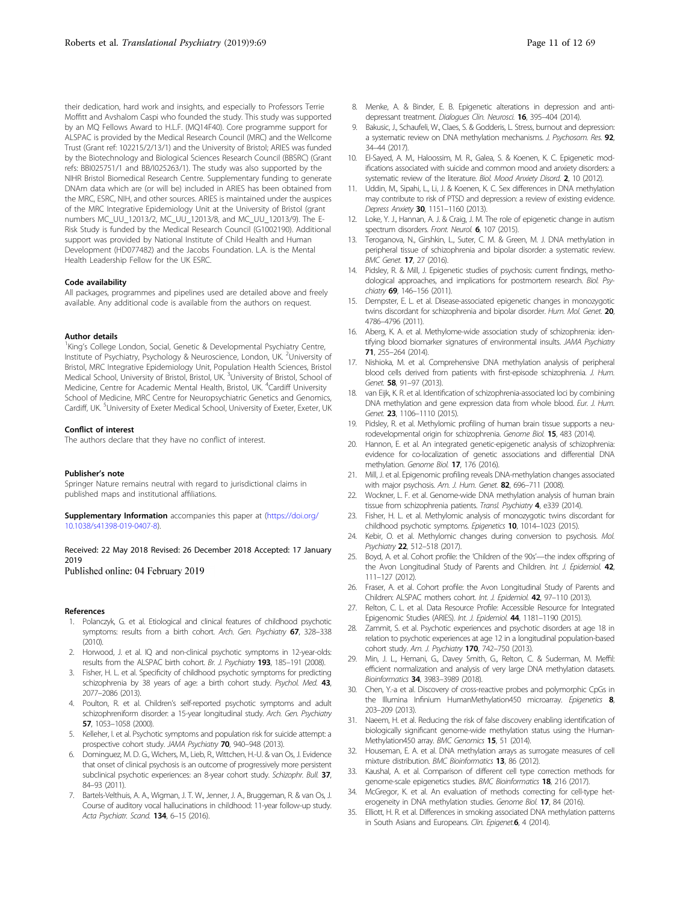<span id="page-10-0"></span>their dedication, hard work and insights, and especially to Professors Terrie Moffitt and Avshalom Caspi who founded the study. This study was supported by an MQ Fellows Award to H.L.F. (MQ14F40). Core programme support for ALSPAC is provided by the Medical Research Council (MRC) and the Wellcome Trust (Grant ref: 102215/2/13/1) and the University of Bristol; ARIES was funded by the Biotechnology and Biological Sciences Research Council (BBSRC) (Grant refs: BBI025751/1 and BB/I025263/1). The study was also supported by the NIHR Bristol Biomedical Research Centre. Supplementary funding to generate DNAm data which are (or will be) included in ARIES has been obtained from the MRC, ESRC, NIH, and other sources. ARIES is maintained under the auspices of the MRC Integrative Epidemiology Unit at the University of Bristol (grant numbers MC\_UU\_12013/2, MC\_UU\_12013/8, and MC\_UU\_12013/9). The E-Risk Study is funded by the Medical Research Council (G1002190). Additional support was provided by National Institute of Child Health and Human Development (HD077482) and the Jacobs Foundation. L.A. is the Mental Health Leadership Fellow for the UK ESRC.

#### Code availability

All packages, programmes and pipelines used are detailed above and freely available. Any additional code is available from the authors on request.

#### Author details

<sup>1</sup>King's College London, Social, Genetic & Developmental Psychiatry Centre, Institute of Psychiatry, Psychology & Neuroscience, London, UK. <sup>2</sup>University of Bristol, MRC Integrative Epidemiology Unit, Population Health Sciences, Bristol Medical School, University of Bristol, Bristol, UK. <sup>3</sup>University of Bristol, School of Medicine, Centre for Academic Mental Health, Bristol, UK. <sup>4</sup>Cardiff University School of Medicine, MRC Centre for Neuropsychiatric Genetics and Genomics, Cardiff, UK. <sup>5</sup>University of Exeter Medical School, University of Exeter, Exeter, UK

#### Conflict of interest

The authors declare that they have no conflict of interest.

#### Publisher's note

Springer Nature remains neutral with regard to jurisdictional claims in published maps and institutional affiliations.

Supplementary Information accompanies this paper at ([https://doi.org/](https://doi.org/10.1038/s41398-019-0407-8) [10.1038/s41398-019-0407-8\)](https://doi.org/10.1038/s41398-019-0407-8).

Received: 22 May 2018 Revised: 26 December 2018 Accepted: 17 January 2019

Published online: 04 February 2019

#### References

- 1. Polanczyk, G. et al. Etiological and clinical features of childhood psychotic symptoms: results from a birth cohort. Arch. Gen. Psychiatry 67, 328-338 (2010).
- 2. Horwood, J. et al. IQ and non-clinical psychotic symptoms in 12-year-olds: results from the ALSPAC birth cohort. Br. J. Psychiatry 193, 185-191 (2008).
- 3. Fisher, H. L. et al. Specificity of childhood psychotic symptoms for predicting schizophrenia by 38 years of age: a birth cohort study. Psychol. Med. 43, 2077–2086 (2013).
- Poulton, R. et al. Children's self-reported psychotic symptoms and adult schizophreniform disorder: a 15-year longitudinal study. Arch. Gen. Psychiatry 57, 1053–1058 (2000).
- 5. Kelleher, I. et al. Psychotic symptoms and population risk for suicide attempt: a prospective cohort study. JAMA Psychiatry 70, 940-948 (2013).
- Dominguez, M. D. G., Wichers, M., Lieb, R., Wittchen, H.-U. & van Os, J. Evidence that onset of clinical psychosis is an outcome of progressively more persistent subclinical psychotic experiences: an 8-year cohort study. Schizophr. Bull. 37, 84–93 (2011).
- 7. Bartels-Velthuis, A. A., Wigman, J. T. W., Jenner, J. A., Bruggeman, R. & van Os, J. Course of auditory vocal hallucinations in childhood: 11-year follow-up study. Acta Psychiatr. Scand. **134**, 6-15 (2016).
- 9. Bakusic, J., Schaufeli, W., Claes, S. & Godderis, L. Stress, burnout and depression: a systematic review on DNA methylation mechanisms. J. Psychosom. Res. 92, 34–44 (2017).
- 10. El-Sayed, A. M., Haloossim, M. R., Galea, S. & Koenen, K. C. Epigenetic modifications associated with suicide and common mood and anxiety disorders: a systematic review of the literature. Biol. Mood Anxiety Disord. 2, 10 (2012).
- 11. Uddin, M., Sipahi, L., Li, J. & Koenen, K. C. Sex differences in DNA methylation may contribute to risk of PTSD and depression: a review of existing evidence. Depress Anxiety 30, 1151-1160 (2013).
- 12. Loke, Y. J., Hannan, A. J. & Craig, J. M. The role of epigenetic change in autism spectrum disorders. Front. Neurol. 6, 107 (2015).
- 13. Teroganova, N., Girshkin, L., Suter, C. M. & Green, M. J. DNA methylation in peripheral tissue of schizophrenia and bipolar disorder: a systematic review. BMC Genet. 17, 27 (2016).
- 14. Pidsley, R. & Mill, J. Epigenetic studies of psychosis: current findings, methodological approaches, and implications for postmortem research. Biol. Psychiatry  $69.146 - 156$  (2011).
- 15. Dempster, E. L. et al. Disease-associated epigenetic changes in monozygotic twins discordant for schizophrenia and bipolar disorder. Hum. Mol. Genet. 20. 4786–4796 (2011).
- 16. Aberg, K. A. et al. Methylome-wide association study of schizophrenia: identifying blood biomarker signatures of environmental insults. JAMA Psychiatry 71, 255–264 (2014).
- 17. Nishioka, M. et al. Comprehensive DNA methylation analysis of peripheral blood cells derived from patients with first-episode schizophrenia. J. Hum. Genet. 58, 91–97 (2013).
- 18. van Eijk, K. R. et al. Identification of schizophrenia-associated loci by combining DNA methylation and gene expression data from whole blood. Eur. J. Hum. Genet. 23, 1106-1110 (2015).
- 19. Pidsley, R. et al. Methylomic profiling of human brain tissue supports a neurodevelopmental origin for schizophrenia. Genome Biol. 15, 483 (2014).
- 20. Hannon, E. et al. An integrated genetic-epigenetic analysis of schizophrenia: evidence for co-localization of genetic associations and differential DNA methylation. Genome Biol. 17, 176 (2016).
- 21. Mill, J. et al. Epigenomic profiling reveals DNA-methylation changes associated with major psychosis. Am. J. Hum. Genet. 82, 696–711 (2008).
- 22. Wockner, L. F. et al. Genome-wide DNA methylation analysis of human brain tissue from schizophrenia patients. Transl. Psychiatry 4, e339 (2014).
- 23. Fisher, H. L. et al. Methylomic analysis of monozygotic twins discordant for childhood psychotic symptoms. Epigenetics 10, 1014–1023 (2015).
- 24. Kebir, O. et al. Methylomic changes during conversion to psychosis. Mol. Psychiatry 22, 512–518 (2017).
- 25. Boyd, A. et al. Cohort profile: the 'Children of the 90s'—the index offspring of the Avon Longitudinal Study of Parents and Children. Int. J. Epidemiol. 42, 111–127 (2012).
- 26. Fraser, A. et al. Cohort profile: the Avon Longitudinal Study of Parents and Children: ALSPAC mothers cohort. Int. J. Epidemiol. 42, 97-110 (2013).
- 27. Relton, C. L. et al. Data Resource Profile: Accessible Resource for Integrated Epigenomic Studies (ARIES). Int. J. Epidemiol. 44, 1181-1190 (2015).
- 28. Zammit, S. et al. Psychotic experiences and psychotic disorders at age 18 in relation to psychotic experiences at age 12 in a longitudinal population-based cohort study. Am. J. Psychiatry 170, 742-750 (2013).
- 29. Min, J. L., Hemani, G., Davey Smith, G., Relton, C. & Suderman, M. Meffil: efficient normalization and analysis of very large DNA methylation datasets. Bioinformatics 34, 3983–3989 (2018).
- 30. Chen, Y.-a et al. Discovery of cross-reactive probes and polymorphic CpGs in the Illumina Infinium HumanMethylation450 microarray. Epigenetics 8, 203–209 (2013).
- 31. Naeem, H. et al. Reducing the risk of false discovery enabling identification of biologically significant genome-wide methylation status using the Human-Methylation450 array. BMC Genomics 15, 51 (2014).
- Houseman, E. A. et al. DNA methylation arrays as surrogate measures of cell mixture distribution. BMC Bioinformatics 13, 86 (2012).
- 33. Kaushal, A. et al. Comparison of different cell type correction methods for genome-scale epigenetics studies. BMC Bioinformatics 18, 216 (2017).
- 34. McGregor, K. et al. An evaluation of methods correcting for cell-type heterogeneity in DNA methylation studies. Genome Biol. 17, 84 (2016).
- 35. Elliott, H. R. et al. Differences in smoking associated DNA methylation patterns in South Asians and Europeans. Clin. Epigenet.6, 4 (2014).